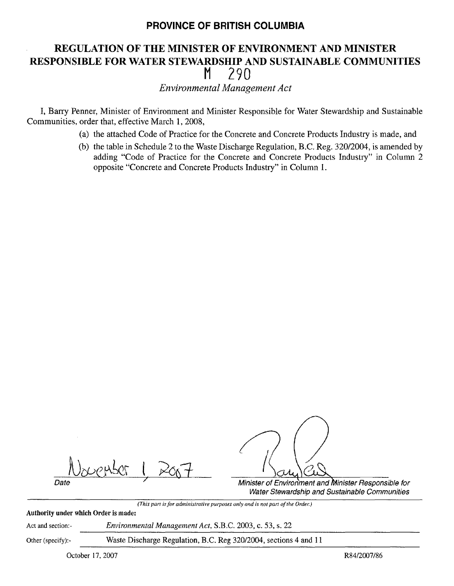### **PROVINCE OF BRITISH COLUMBIA**

# **REGULATION OF THE MINISTER OF ENVIRONMENT AND MINISTER RESPONSIBLE FOR WATER STEWARDSHIP AND SUSTAINABLE COMMUNITIES M 290**

*Environmental Management Act* 

I, Barry Penner, Minister of Environment and Minister Responsible for Water Stewardship and Sustainable Communities, order that, effective March 1, 2008,

- (a) the attached Code of Practice for the Concrete and Concrete Products Industry is made, and
- (b) the table in Schedule 2 to the Waste Discharge Regulation, B.C. Reg. 320/2004, is amended by adding "Code of Practice for the Concrete and Concrete Products Industry" in Column 2 opposite "Concrete and Concrete Products Industry" in Column 1.

Date **t**  7

*/J*   $\frac{1}{2}$ a

Minister of Environment and Minister Responsible for Water Stewardship and Sustainable Communities

*(This part is for administrative purposes only and is not part of the Order.)* 

**Authority under** which **Order** is **made:**  Act and section:- *Environmental Management Act,* S.B.C. 2003, c. 53, s. 22

Other (specify):- Waste Discharge Regulation, B.C. Reg 320/2004, sections 4 and 11

October 17, 2007 R84/2007/86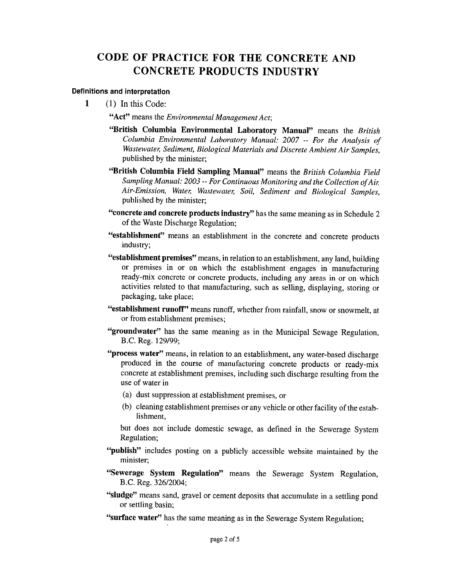## **CODE OF PRACTICE FOR THE CONCRETE AND CONCRETE PRODUCTS INDUSTRY**

#### **Definitions and interpretation**

**1** (1) In this Code:

**"Act"** means the *Environmental Management Act;* 

- **"British Columbia Environmental Laboratory Manual"** means the *British Columbia Environmental Laboratory Manual: 2007* -- *For the Analysis of Wastewater, Sediment, Biological Materials and Discrete Ambient Air Samples,*  published by the minister;
- **''British Columbia Field Sampling Manual"** means the *British Columbia Field Sampling Manual: 2003* -- *For Continuous Monitoring and the Collection of Air, Air-Emission, Water, Wastewater, Soil, Sediment and Biological Samples,*  published by the minister;
- **"concrete and concrete products industry"** has the same meaning as in Schedule 2 of the Waste Discharge Regulation;
- **"establishment"** means an establishment in the concrete and concrete products industry;
- **"establishment premises"** means, in relation to an establishment, any land, building or premises in or on which the establishment engages in manufacturing ready-mix concrete or concrete products, including any areas in or on which activities related to that manufacturing, such as selling, displaying, storing or packaging, take place;
- **"establishment runoff''** means runoff, whether from rainfall, snow or snowmelt, at or from establishment premises;
- **"groundwater''** has the same meaning as in the Municipal Sewage Regulation, B.C. Reg. 129/99;
- **''process water''** means, in relation to an establishment, any water-based discharge produced in the course of manufacturing concrete products or ready-mix concrete at establishment premises, including such discharge resulting from the use of water in
	- (a) dust suppression at establishment premises, or
	- (b) cleaning establishment premises or any vehicle or other facility of the establishment,

but does not include domestic sewage, as defined in the Sewerage System Regulation;

- **''publish"** includes posting on a publicly accessible website maintained by the minister;
- **"Sewerage System Regulation"** means the Sewerage System Regulation, B.C. Reg. 326/2004;
- **"sludge"** means sand, gravel or cement deposits that accumulate in a settling pond or settling basin;
- **"surface water''** has the same meaning as in the Sewerage System Regulation;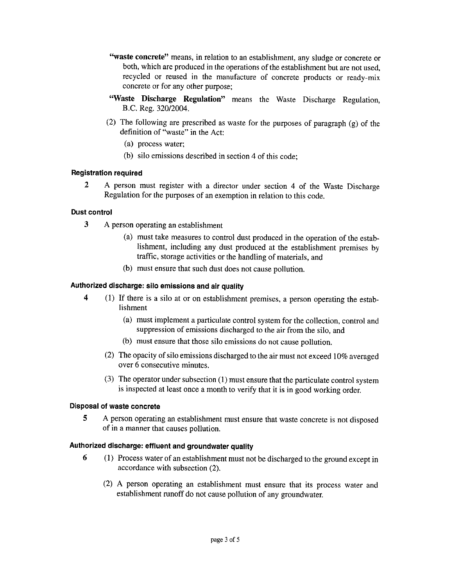- **''waste concrete"** means, in relation to an establishment, any sludge or concrete or both, which are produced in the operations of the establishment but are not used, recycled or reused in the manufacture of concrete products or ready-mix concrete or for any other purpose;
- **"Waste Discharge Regulation"** means the Waste Discharge Regulation, B.C. Reg. 320/2004.
- (2) The following are prescribed as waste for the purposes of paragraph (g) of the definition of "waste" in the Act:
	- (a) process water;
	- (b) silo emissions described in section 4 of this code;

#### **Registration required**

**2** A person must register with a director under section 4 of the Waste Discharge Regulation for the purposes of an exemption in relation to this code.

#### **Dust control**

- **3** A person operating an establishment
	- (a) must take measures to control dust produced in the operation of the establishment, including any dust produced at the establishment premises by traffic, storage activities or the handling of materials, and
	- (b) must ensure that such dust does not cause pollution.

#### **Authorized discharge: silo emissions and air quality**

- **4** (1) If there is a silo at or on establishment premises, a person operating the establishment
	- (a) must implement a particulate control system for the collection, control and suppression of emissions discharged to the air from the silo, and
	- (b) must ensure that those silo emissions do not cause pollution.
	- (2) The opacity of silo emissions discharged to the air must not exceed 10% averaged over 6 consecutive minutes.
	- (3) The operator under subsection(]) must ensure that the particulate control system is inspected at least once a month to verify that it is in good working order.

#### **Disposal of waste concrete**

**5** A person operating an establishment must ensure that waste concrete is not disposed of in a manner that causes pollution.

#### **Authorized discharge: effluent and groundwater quality**

- **6** ( 1) Process water of an establishment must not be discharged to the ground except in accordance with subsection (2).
	- (2) A person operating an establishment must ensure that its process water and establishment runoff do not cause pollution of any groundwater.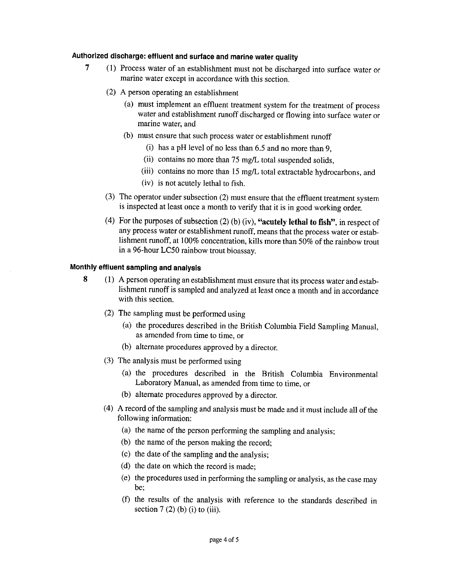### **Authorized discharge: effluent and surface and marine water quality**

- **7** (I) Process water of an establishment must not be discharged into surface water or marine water except in accordance with this section.
	- (2) A person operating an establishment
		- (a) must implement an effluent treatment system for the treatment of process water and establishment runoff discharged or flowing into surface water or marine water, and
		- (b) must ensure that such process water or establishment runoff
			- (i) has a pH level of no less than 6.5 and no more than 9,
			- (ii) contains no more than 75 mg/L total suspended solids,
			- (iii) contains no more than 15 mg/L total extractable hydrocarbons, and
			- (iv) is not acutely lethal to fish.
	- (3) The operator under subsection (2) must ensure that the effluent treatment system is inspected at least once a month to verify that it is in good working order.
	- (4) For the purposes of subsection (2) (b) (iv), **"acutely lethal to fish",** in respect of any process water or establishment runoff, means that the process water or establishment runoff, at 100% concentration, kills more than 50% of the rainbow trout in a 96-hour LC50 rainbow trout bioassay.

#### **Monthly effluent sampling and analysis**

- **8** (I) A person operating an establishment must ensure that its process water and establishment runoff is sampled and analyzed at least once a month and in accordance with this section.
	- (2) The sampling must be performed using
		- (a) the procedures described in the British Columbia Field Sampling Manual, as amended from time to time, or
		- (b) alternate procedures approved by a director.
	- (3) The analysis must be performed using
		- (a) the procedures described in the British Columbia Environmental Laboratory Manual, as amended from time to time, or
		- (b) alternate procedures approved by a director.
	- (4) A record of the sampling and analysis must be made and it must include all of the following information:
		- (a) the name of the person performing the sampling and analysis;
		- (b) the name of the person making the record;
		- ( c) the date of the sampling and the analysis;
		- (d) the date on which the record is made;
		- (e) the procedures used in performing the sampling or analysis, as the case may be;
		- (f) the results of the analysis with reference to the standards described in section  $7(2)$  (b) (i) to (iii).